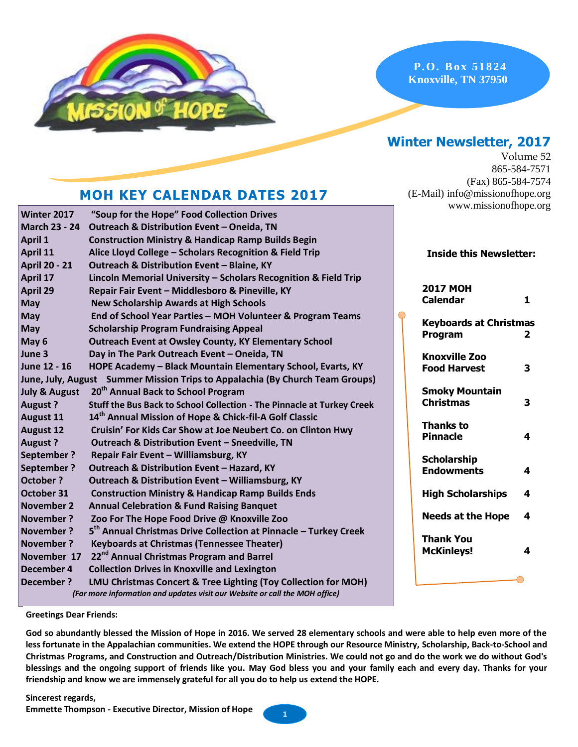

**P. O. B ox 51 824 Knoxville, TN 37950**

## **Winter Newsletter, 2017**

Volume 52 865-584-7571 (Fax) 865-584-7574 (E-Mail) info@missionofhope.org www.missionofhope.org

### **MOH KEY CALENDAR DATES 2017**

| Winter 2017              | "Soup for the Hope" Food Collection Drives                                    |                                |              |
|--------------------------|-------------------------------------------------------------------------------|--------------------------------|--------------|
| <b>March 23 - 24</b>     | Outreach & Distribution Event - Oneida, TN                                    |                                |              |
| <b>April 1</b>           | <b>Construction Ministry &amp; Handicap Ramp Builds Begin</b>                 |                                |              |
| April 11                 | Alice Lloyd College - Scholars Recognition & Field Trip                       | <b>Inside this Newsletter:</b> |              |
| <b>April 20 - 21</b>     | Outreach & Distribution Event - Blaine, KY                                    |                                |              |
| April 17                 | Lincoln Memorial University - Scholars Recognition & Field Trip               |                                |              |
| April 29                 | Repair Fair Event - Middlesboro & Pineville, KY                               | <b>2017 MOH</b>                |              |
| May                      | <b>New Scholarship Awards at High Schools</b>                                 | <b>Calendar</b>                | $\mathbf{1}$ |
| <b>May</b>               | End of School Year Parties - MOH Volunteer & Program Teams                    | <b>Keyboards at Christmas</b>  |              |
| May                      | <b>Scholarship Program Fundraising Appeal</b>                                 | Program                        | $\mathbf{2}$ |
| May 6                    | <b>Outreach Event at Owsley County, KY Elementary School</b>                  |                                |              |
| June 3                   | Day in The Park Outreach Event - Oneida, TN                                   | <b>Knoxville Zoo</b>           |              |
| June 12 - 16             | HOPE Academy - Black Mountain Elementary School, Evarts, KY                   | <b>Food Harvest</b>            | 3            |
|                          | June, July, August Summer Mission Trips to Appalachia (By Church Team Groups) |                                |              |
| <b>July &amp; August</b> | 20 <sup>th</sup> Annual Back to School Program                                | <b>Smoky Mountain</b>          |              |
| <b>August?</b>           | Stuff the Bus Back to School Collection - The Pinnacle at Turkey Creek        | <b>Christmas</b>               | 3            |
| <b>August 11</b>         | 14th Annual Mission of Hope & Chick-fil-A Golf Classic                        | <b>Thanks to</b>               |              |
| <b>August 12</b>         | Cruisin' For Kids Car Show at Joe Neubert Co. on Clinton Hwy                  | <b>Pinnacle</b>                | 4            |
| <b>August?</b>           | Outreach & Distribution Event - Sneedville, TN                                |                                |              |
| <b>September?</b>        | Repair Fair Event - Williamsburg, KY                                          | <b>Scholarship</b>             |              |
| <b>September?</b>        | Outreach & Distribution Event - Hazard, KY                                    | <b>Endowments</b>              | 4            |
| October ?                | Outreach & Distribution Event - Williamsburg, KY                              |                                |              |
| October 31               | <b>Construction Ministry &amp; Handicap Ramp Builds Ends</b>                  | <b>High Scholarships</b>       | 4            |
| <b>November 2</b>        | <b>Annual Celebration &amp; Fund Raising Banquet</b>                          |                                |              |
| <b>November?</b>         | Zoo For The Hope Food Drive @ Knoxville Zoo                                   | <b>Needs at the Hope</b>       | 4            |
| <b>November?</b>         | 5 <sup>th</sup> Annual Christmas Drive Collection at Pinnacle - Turkey Creek  | <b>Thank You</b>               |              |
| November ?               | <b>Keyboards at Christmas (Tennessee Theater)</b>                             | <b>McKinleys!</b>              | 4            |
| November 17              | 22 <sup>nd</sup> Annual Christmas Program and Barrel                          |                                |              |
| December 4               | <b>Collection Drives in Knoxville and Lexington</b>                           |                                |              |
| <b>December?</b>         | LMU Christmas Concert & Tree Lighting (Toy Collection for MOH)                |                                |              |
|                          | (For more information and updates visit our Website or call the MOH office)   |                                |              |

**Greetings Dear Friends:**

**God so abundantly blessed the Mission of Hope in 2016. We served 28 elementary schools and were able to help even more of the less fortunate in the Appalachian communities. We extend the HOPE through our Resource Ministry, Scholarship, Back-to-School and Christmas Programs, and Construction and Outreach/Distribution Ministries. We could not go and do the work we do without God's blessings and the ongoing support of friends like you. May God bless you and your family each and every day. Thanks for your friendship and know we are immensely grateful for all you do to help us extend the HOPE.** 

**Sincerest regards, Emmette Thompson - Executive Director, Mission of Hope <sup>1</sup>**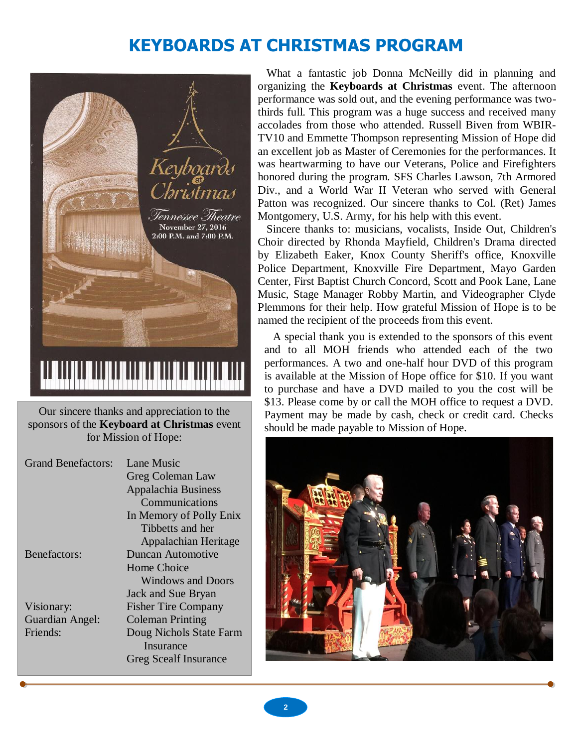# **KEYBOARDS AT CHRISTMAS PROGRAM**



Our sincere thanks and appreciation to the sponsors of the **Keyboard at Christmas** event for Mission of Hope:

| <b>Grand Benefactors:</b> | Lane Music                   |  |  |
|---------------------------|------------------------------|--|--|
|                           | Greg Coleman Law             |  |  |
|                           | Appalachia Business          |  |  |
|                           | Communications               |  |  |
|                           | In Memory of Polly Enix      |  |  |
|                           | Tibbetts and her             |  |  |
|                           | Appalachian Heritage         |  |  |
| <b>Benefactors:</b>       | Duncan Automotive            |  |  |
|                           | Home Choice                  |  |  |
|                           | <b>Windows and Doors</b>     |  |  |
|                           | Jack and Sue Bryan           |  |  |
| Visionary:                | <b>Fisher Tire Company</b>   |  |  |
| Guardian Angel:           | <b>Coleman Printing</b>      |  |  |
| Friends:                  | Doug Nichols State Farm      |  |  |
|                           | Insurance                    |  |  |
|                           | <b>Greg Scealf Insurance</b> |  |  |

What a fantastic job Donna McNeilly did in planning and organizing the **Keyboards at Christmas** event. The afternoon performance was sold out, and the evening performance was twothirds full. This program was a huge success and received many accolades from those who attended. Russell Biven from WBIR-TV10 and Emmette Thompson representing Mission of Hope did an excellent job as Master of Ceremonies for the performances. It was heartwarming to have our Veterans, Police and Firefighters honored during the program. SFS Charles Lawson, 7th Armored Div., and a World War II Veteran who served with General Patton was recognized. Our sincere thanks to Col. (Ret) James Montgomery, U.S. Army, for his help with this event.

Sincere thanks to: musicians, vocalists, Inside Out, Children's Choir directed by Rhonda Mayfield, Children's Drama directed by Elizabeth Eaker, Knox County Sheriff's office, Knoxville Police Department, Knoxville Fire Department, Mayo Garden Center, First Baptist Church Concord, Scott and Pook Lane, Lane Music, Stage Manager Robby Martin, and Videographer Clyde Plemmons for their help. How grateful Mission of Hope is to be named the recipient of the proceeds from this event.

performances. A two and one-half hour DVD of this program is available at the Mission of Hope office for \$10. If you want A special thank you is extended to the sponsors of this event and to all MOH friends who attended each of the two to purchase and have a DVD mailed to you the cost will be \$13. Please come by or call the MOH office to request a DVD. Payment may be made by cash, check or credit card. Checks should be made payable to Mission of Hope.

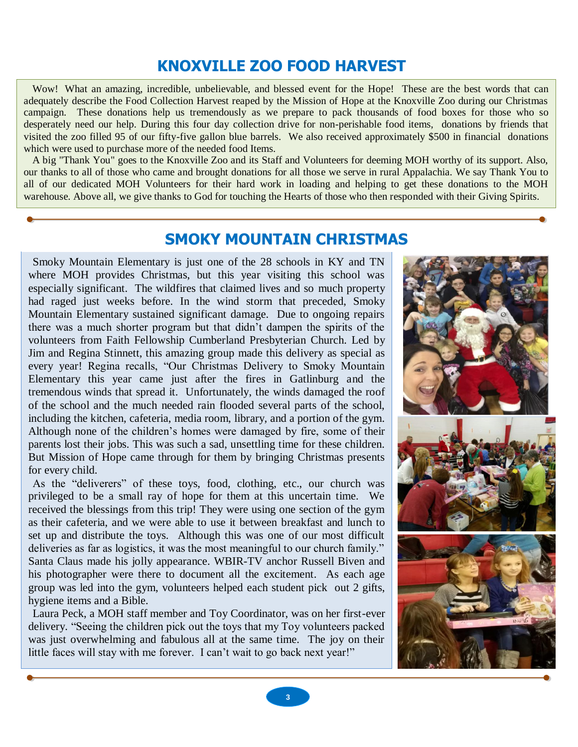## **KNOXVILLE ZOO FOOD HARVEST**

Wow! What an amazing, incredible, unbelievable, and blessed event for the Hope! These are the best words that can adequately describe the Food Collection Harvest reaped by the Mission of Hope at the Knoxville Zoo during our Christmas campaign. These donations help us tremendously as we prepare to pack thousands of food boxes for those who so desperately need our help. During this four day collection drive for non-perishable food items, donations by friends that visited the zoo filled 95 of our fifty-five gallon blue barrels. We also received approximately \$500 in financial donations which were used to purchase more of the needed food Items.

A big "Thank You" goes to the Knoxville Zoo and its Staff and Volunteers for deeming MOH worthy of its support. Also, our thanks to all of those who came and brought donations for all those we serve in rural Appalachia. We say Thank You to all of our dedicated MOH Volunteers for their hard work in loading and helping to get these donations to the MOH warehouse. Above all, we give thanks to God for touching the Hearts of those who then responded with their Giving Spirits.

### **SMOKY MOUNTAIN CHRISTMAS**

Smoky Mountain Elementary is just one of the 28 schools in KY and TN where MOH provides Christmas, but this year visiting this school was especially significant. The wildfires that claimed lives and so much property had raged just weeks before. In the wind storm that preceded, Smoky Mountain Elementary sustained significant damage. Due to ongoing repairs there was a much shorter program but that didn't dampen the spirits of the volunteers from Faith Fellowship Cumberland Presbyterian Church. Led by Jim and Regina Stinnett, this amazing group made this delivery as special as every year! Regina recalls, "Our Christmas Delivery to Smoky Mountain Elementary this year came just after the fires in Gatlinburg and the tremendous winds that spread it. Unfortunately, the winds damaged the roof of the school and the much needed rain flooded several parts of the school, including the kitchen, cafeteria, media room, library, and a portion of the gym. Although none of the children's homes were damaged by fire, some of their parents lost their jobs. This was such a sad, unsettling time for these children. But Mission of Hope came through for them by bringing Christmas presents for every child.

As the "deliverers" of these toys, food, clothing, etc., our church was privileged to be a small ray of hope for them at this uncertain time. We received the blessings from this trip! They were using one section of the gym as their cafeteria, and we were able to use it between breakfast and lunch to set up and distribute the toys. Although this was one of our most difficult deliveries as far as logistics, it was the most meaningful to our church family." Santa Claus made his jolly appearance. WBIR-TV anchor Russell Biven and his photographer were there to document all the excitement. As each age group was led into the gym, volunteers helped each student pick out 2 gifts, hygiene items and a Bible.

Laura Peck, a MOH staff member and Toy Coordinator, was on her first-ever delivery. "Seeing the children pick out the toys that my Toy volunteers packed was just overwhelming and fabulous all at the same time. The joy on their little faces will stay with me forever. I can't wait to go back next year!"